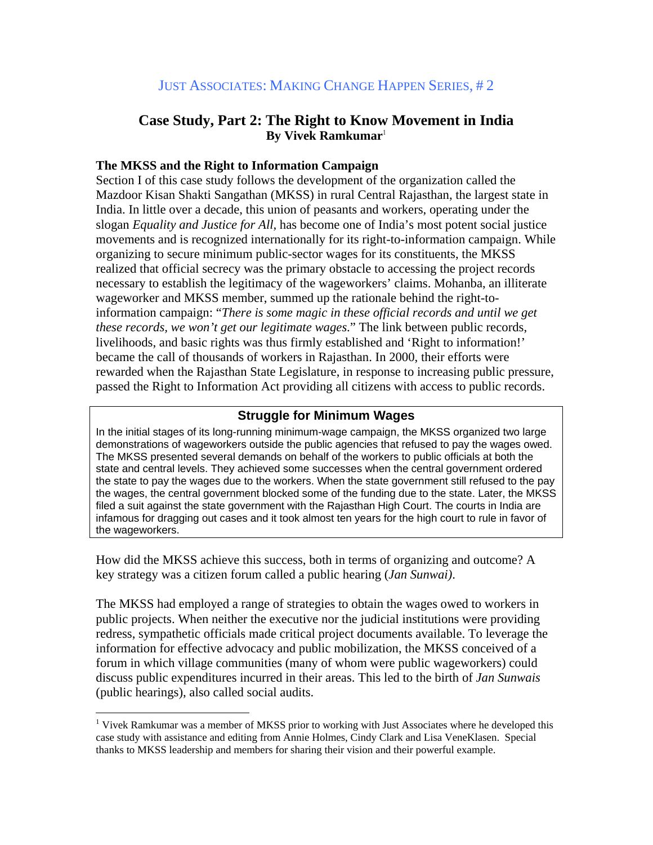# **Case Study, Part 2: The Right to Know Movement in India By Vivek Ramkumar**<sup>1</sup>

## **The MKSS and the Right to Information Campaign**

Section I of this case study follows the development of the organization called the Mazdoor Kisan Shakti Sangathan (MKSS) in rural Central Rajasthan, the largest state in India. In little over a decade, this union of peasants and workers, operating under the slogan *Equality and Justice for All,* has become one of India's most potent social justice movements and is recognized internationally for its right-to-information campaign. While organizing to secure minimum public-sector wages for its constituents, the MKSS realized that official secrecy was the primary obstacle to accessing the project records necessary to establish the legitimacy of the wageworkers' claims. Mohanba, an illiterate wageworker and MKSS member, summed up the rationale behind the right-toinformation campaign: "*There is some magic in these official records and until we get these records, we won't get our legitimate wages*." The link between public records, livelihoods, and basic rights was thus firmly established and 'Right to information!' became the call of thousands of workers in Rajasthan. In 2000, their efforts were rewarded when the Rajasthan State Legislature, in response to increasing public pressure, passed the Right to Information Act providing all citizens with access to public records.

## **Struggle for Minimum Wages**

In the initial stages of its long-running minimum-wage campaign, the MKSS organized two large demonstrations of wageworkers outside the public agencies that refused to pay the wages owed. The MKSS presented several demands on behalf of the workers to public officials at both the state and central levels. They achieved some successes when the central government ordered the state to pay the wages due to the workers. When the state government still refused to the pay the wages, the central government blocked some of the funding due to the state. Later, the MKSS filed a suit against the state government with the Rajasthan High Court. The courts in India are infamous for dragging out cases and it took almost ten years for the high court to rule in favor of the wageworkers.

How did the MKSS achieve this success, both in terms of organizing and outcome? A key strategy was a citizen forum called a public hearing (*Jan Sunwai)*.

The MKSS had employed a range of strategies to obtain the wages owed to workers in public projects. When neither the executive nor the judicial institutions were providing redress, sympathetic officials made critical project documents available. To leverage the information for effective advocacy and public mobilization, the MKSS conceived of a forum in which village communities (many of whom were public wageworkers) could discuss public expenditures incurred in their areas. This led to the birth of *Jan Sunwais* (public hearings), also called social audits.

 $\overline{a}$ 

<sup>&</sup>lt;sup>1</sup> Vivek Ramkumar was a member of MKSS prior to working with Just Associates where he developed this case study with assistance and editing from Annie Holmes, Cindy Clark and Lisa VeneKlasen. Special thanks to MKSS leadership and members for sharing their vision and their powerful example.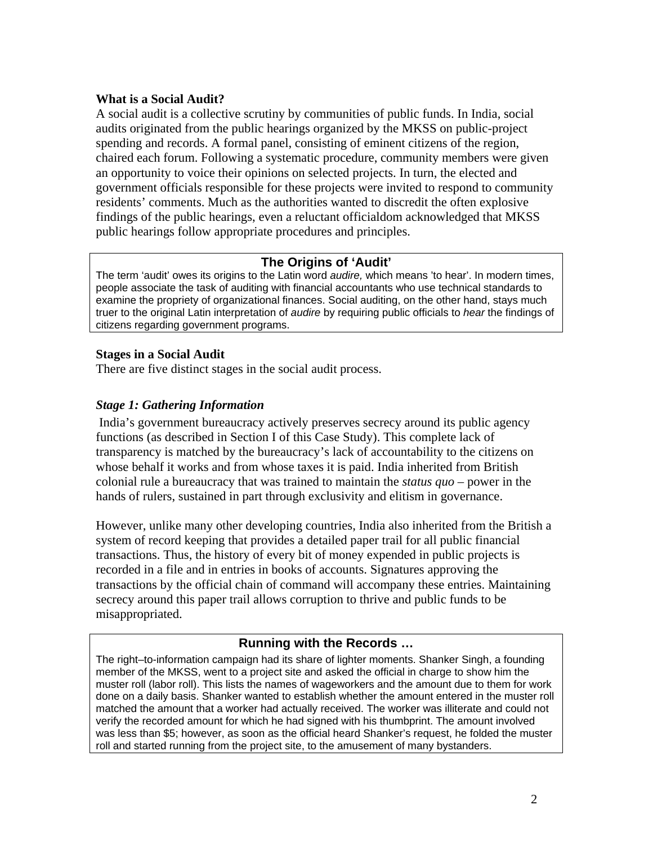### **What is a Social Audit?**

A social audit is a collective scrutiny by communities of public funds. In India, social audits originated from the public hearings organized by the MKSS on public-project spending and records. A formal panel, consisting of eminent citizens of the region, chaired each forum. Following a systematic procedure, community members were given an opportunity to voice their opinions on selected projects. In turn, the elected and government officials responsible for these projects were invited to respond to community residents' comments. Much as the authorities wanted to discredit the often explosive findings of the public hearings, even a reluctant officialdom acknowledged that MKSS public hearings follow appropriate procedures and principles.

## **The Origins of 'Audit'**

The term 'audit' owes its origins to the Latin word *audire,* which means 'to hear'. In modern times, people associate the task of auditing with financial accountants who use technical standards to examine the propriety of organizational finances. Social auditing, on the other hand, stays much truer to the original Latin interpretation of *audire* by requiring public officials to *hear* the findings of citizens regarding government programs.

#### **Stages in a Social Audit**

There are five distinct stages in the social audit process.

## *Stage 1: Gathering Information*

 India's government bureaucracy actively preserves secrecy around its public agency functions (as described in Section I of this Case Study). This complete lack of transparency is matched by the bureaucracy's lack of accountability to the citizens on whose behalf it works and from whose taxes it is paid. India inherited from British colonial rule a bureaucracy that was trained to maintain the *status quo* – power in the hands of rulers, sustained in part through exclusivity and elitism in governance.

However, unlike many other developing countries, India also inherited from the British a system of record keeping that provides a detailed paper trail for all public financial transactions. Thus, the history of every bit of money expended in public projects is recorded in a file and in entries in books of accounts. Signatures approving the transactions by the official chain of command will accompany these entries. Maintaining secrecy around this paper trail allows corruption to thrive and public funds to be misappropriated.

## **Running with the Records …**

The right–to-information campaign had its share of lighter moments. Shanker Singh, a founding member of the MKSS, went to a project site and asked the official in charge to show him the muster roll (labor roll). This lists the names of wageworkers and the amount due to them for work done on a daily basis. Shanker wanted to establish whether the amount entered in the muster roll matched the amount that a worker had actually received. The worker was illiterate and could not verify the recorded amount for which he had signed with his thumbprint. The amount involved was less than \$5; however, as soon as the official heard Shanker's request, he folded the muster roll and started running from the project site, to the amusement of many bystanders.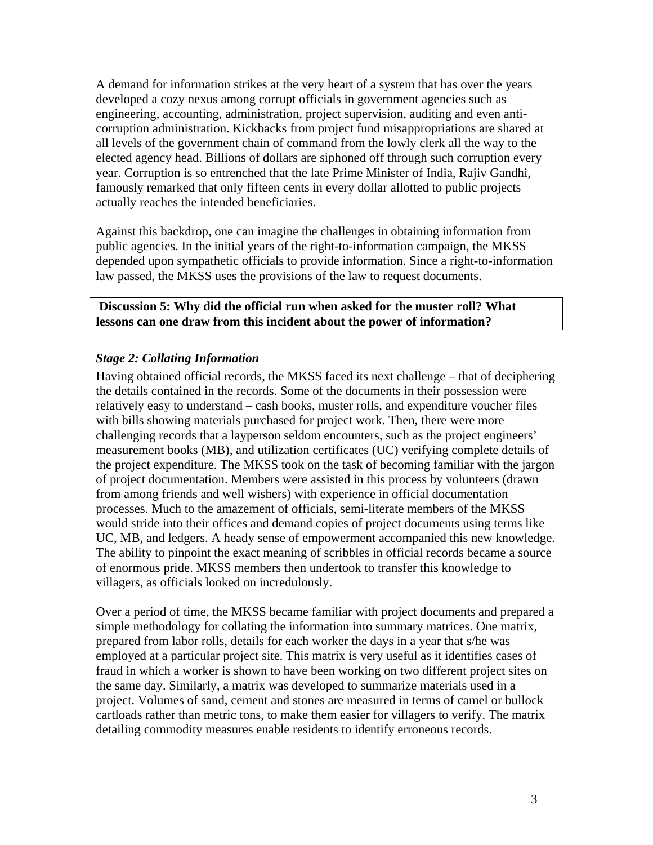A demand for information strikes at the very heart of a system that has over the years developed a cozy nexus among corrupt officials in government agencies such as engineering, accounting, administration, project supervision, auditing and even anticorruption administration. Kickbacks from project fund misappropriations are shared at all levels of the government chain of command from the lowly clerk all the way to the elected agency head. Billions of dollars are siphoned off through such corruption every year. Corruption is so entrenched that the late Prime Minister of India, Rajiv Gandhi, famously remarked that only fifteen cents in every dollar allotted to public projects actually reaches the intended beneficiaries.

Against this backdrop, one can imagine the challenges in obtaining information from public agencies. In the initial years of the right-to-information campaign, the MKSS depended upon sympathetic officials to provide information. Since a right-to-information law passed, the MKSS uses the provisions of the law to request documents.

#### **Discussion 5: Why did the official run when asked for the muster roll? What lessons can one draw from this incident about the power of information?**

### *Stage 2: Collating Information*

Having obtained official records, the MKSS faced its next challenge – that of deciphering the details contained in the records. Some of the documents in their possession were relatively easy to understand – cash books, muster rolls, and expenditure voucher files with bills showing materials purchased for project work. Then, there were more challenging records that a layperson seldom encounters, such as the project engineers' measurement books (MB), and utilization certificates (UC) verifying complete details of the project expenditure. The MKSS took on the task of becoming familiar with the jargon of project documentation. Members were assisted in this process by volunteers (drawn from among friends and well wishers) with experience in official documentation processes. Much to the amazement of officials, semi-literate members of the MKSS would stride into their offices and demand copies of project documents using terms like UC, MB, and ledgers. A heady sense of empowerment accompanied this new knowledge. The ability to pinpoint the exact meaning of scribbles in official records became a source of enormous pride. MKSS members then undertook to transfer this knowledge to villagers, as officials looked on incredulously.

Over a period of time, the MKSS became familiar with project documents and prepared a simple methodology for collating the information into summary matrices. One matrix, prepared from labor rolls, details for each worker the days in a year that s/he was employed at a particular project site. This matrix is very useful as it identifies cases of fraud in which a worker is shown to have been working on two different project sites on the same day. Similarly, a matrix was developed to summarize materials used in a project. Volumes of sand, cement and stones are measured in terms of camel or bullock cartloads rather than metric tons, to make them easier for villagers to verify. The matrix detailing commodity measures enable residents to identify erroneous records.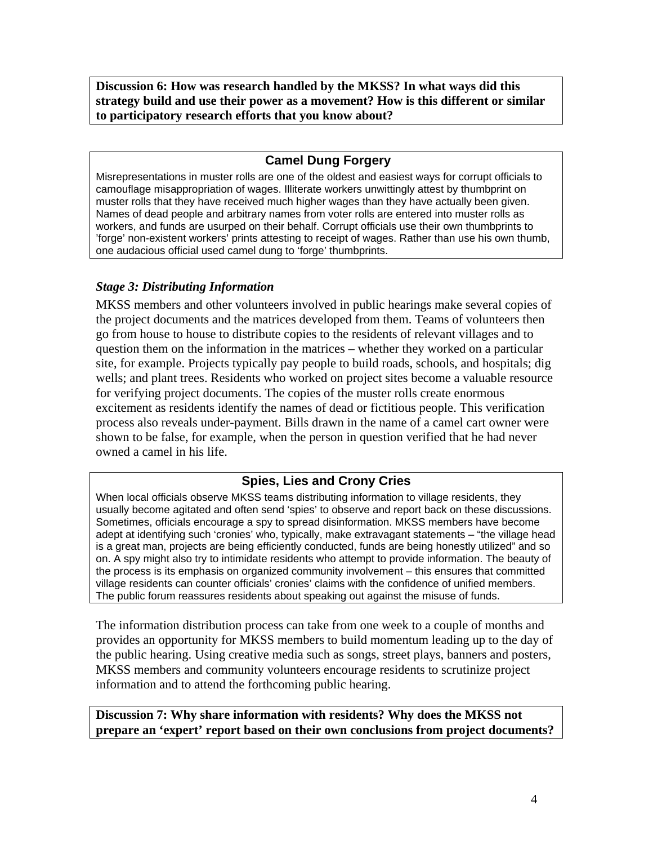**Discussion 6: How was research handled by the MKSS? In what ways did this strategy build and use their power as a movement? How is this different or similar to participatory research efforts that you know about?** 

# **Camel Dung Forgery**

Misrepresentations in muster rolls are one of the oldest and easiest ways for corrupt officials to camouflage misappropriation of wages. Illiterate workers unwittingly attest by thumbprint on muster rolls that they have received much higher wages than they have actually been given. Names of dead people and arbitrary names from voter rolls are entered into muster rolls as workers, and funds are usurped on their behalf. Corrupt officials use their own thumbprints to 'forge' non-existent workers' prints attesting to receipt of wages. Rather than use his own thumb, one audacious official used camel dung to 'forge' thumbprints.

### *Stage 3: Distributing Information*

MKSS members and other volunteers involved in public hearings make several copies of the project documents and the matrices developed from them. Teams of volunteers then go from house to house to distribute copies to the residents of relevant villages and to question them on the information in the matrices – whether they worked on a particular site, for example. Projects typically pay people to build roads, schools, and hospitals; dig wells; and plant trees. Residents who worked on project sites become a valuable resource for verifying project documents. The copies of the muster rolls create enormous excitement as residents identify the names of dead or fictitious people. This verification process also reveals under-payment. Bills drawn in the name of a camel cart owner were shown to be false, for example, when the person in question verified that he had never owned a camel in his life.

# **Spies, Lies and Crony Cries**

When local officials observe MKSS teams distributing information to village residents, they usually become agitated and often send 'spies' to observe and report back on these discussions. Sometimes, officials encourage a spy to spread disinformation. MKSS members have become adept at identifying such 'cronies' who, typically, make extravagant statements – "the village head is a great man, projects are being efficiently conducted, funds are being honestly utilized" and so on. A spy might also try to intimidate residents who attempt to provide information. The beauty of the process is its emphasis on organized community involvement – this ensures that committed village residents can counter officials' cronies' claims with the confidence of unified members. The public forum reassures residents about speaking out against the misuse of funds.

The information distribution process can take from one week to a couple of months and provides an opportunity for MKSS members to build momentum leading up to the day of the public hearing. Using creative media such as songs, street plays, banners and posters, MKSS members and community volunteers encourage residents to scrutinize project information and to attend the forthcoming public hearing.

**Discussion 7: Why share information with residents? Why does the MKSS not prepare an 'expert' report based on their own conclusions from project documents?**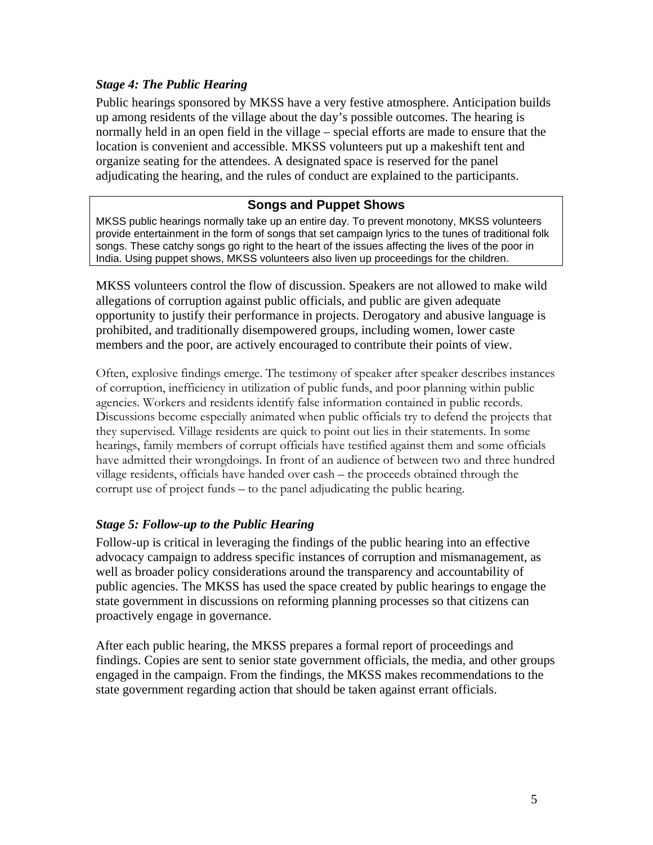## *Stage 4: The Public Hearing*

Public hearings sponsored by MKSS have a very festive atmosphere. Anticipation builds up among residents of the village about the day's possible outcomes. The hearing is normally held in an open field in the village – special efforts are made to ensure that the location is convenient and accessible. MKSS volunteers put up a makeshift tent and organize seating for the attendees. A designated space is reserved for the panel adjudicating the hearing, and the rules of conduct are explained to the participants.

## **Songs and Puppet Shows**

MKSS public hearings normally take up an entire day. To prevent monotony, MKSS volunteers provide entertainment in the form of songs that set campaign lyrics to the tunes of traditional folk songs. These catchy songs go right to the heart of the issues affecting the lives of the poor in India. Using puppet shows, MKSS volunteers also liven up proceedings for the children.

MKSS volunteers control the flow of discussion. Speakers are not allowed to make wild allegations of corruption against public officials, and public are given adequate opportunity to justify their performance in projects. Derogatory and abusive language is prohibited, and traditionally disempowered groups, including women, lower caste members and the poor, are actively encouraged to contribute their points of view.

Often, explosive findings emerge. The testimony of speaker after speaker describes instances of corruption, inefficiency in utilization of public funds, and poor planning within public agencies. Workers and residents identify false information contained in public records. Discussions become especially animated when public officials try to defend the projects that they supervised. Village residents are quick to point out lies in their statements. In some hearings, family members of corrupt officials have testified against them and some officials have admitted their wrongdoings. In front of an audience of between two and three hundred village residents, officials have handed over cash – the proceeds obtained through the corrupt use of project funds – to the panel adjudicating the public hearing.

## *Stage 5: Follow-up to the Public Hearing*

Follow-up is critical in leveraging the findings of the public hearing into an effective advocacy campaign to address specific instances of corruption and mismanagement, as well as broader policy considerations around the transparency and accountability of public agencies. The MKSS has used the space created by public hearings to engage the state government in discussions on reforming planning processes so that citizens can proactively engage in governance.

After each public hearing, the MKSS prepares a formal report of proceedings and findings. Copies are sent to senior state government officials, the media, and other groups engaged in the campaign. From the findings, the MKSS makes recommendations to the state government regarding action that should be taken against errant officials.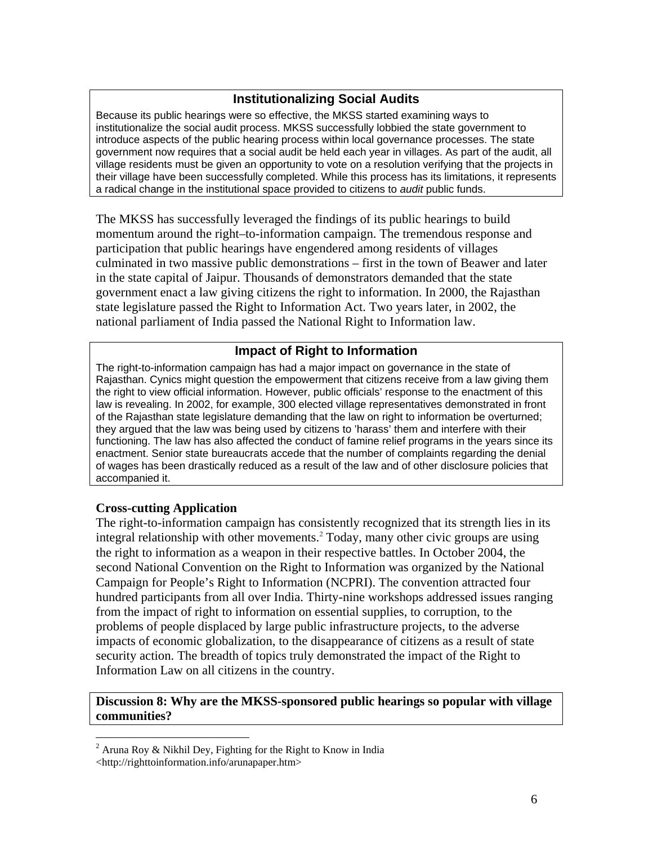## **Institutionalizing Social Audits**

Because its public hearings were so effective, the MKSS started examining ways to institutionalize the social audit process. MKSS successfully lobbied the state government to introduce aspects of the public hearing process within local governance processes. The state government now requires that a social audit be held each year in villages. As part of the audit, all village residents must be given an opportunity to vote on a resolution verifying that the projects in their village have been successfully completed. While this process has its limitations, it represents a radical change in the institutional space provided to citizens to *audit* public funds.

The MKSS has successfully leveraged the findings of its public hearings to build momentum around the right–to-information campaign. The tremendous response and participation that public hearings have engendered among residents of villages culminated in two massive public demonstrations – first in the town of Beawer and later in the state capital of Jaipur. Thousands of demonstrators demanded that the state government enact a law giving citizens the right to information. In 2000, the Rajasthan state legislature passed the Right to Information Act. Two years later, in 2002, the national parliament of India passed the National Right to Information law.

# **Impact of Right to Information**

The right-to-information campaign has had a major impact on governance in the state of Rajasthan. Cynics might question the empowerment that citizens receive from a law giving them the right to view official information. However, public officials' response to the enactment of this law is revealing. In 2002, for example, 300 elected village representatives demonstrated in front of the Rajasthan state legislature demanding that the law on right to information be overturned; they argued that the law was being used by citizens to 'harass' them and interfere with their functioning. The law has also affected the conduct of famine relief programs in the years since its enactment. Senior state bureaucrats accede that the number of complaints regarding the denial of wages has been drastically reduced as a result of the law and of other disclosure policies that accompanied it.

#### **Cross-cutting Application**

The right-to-information campaign has consistently recognized that its strength lies in its integral relationship with other movements.<sup>2</sup> Today, many other civic groups are using the right to information as a weapon in their respective battles. In October 2004, the second National Convention on the Right to Information was organized by the National Campaign for People's Right to Information (NCPRI). The convention attracted four hundred participants from all over India. Thirty-nine workshops addressed issues ranging from the impact of right to information on essential supplies, to corruption, to the problems of people displaced by large public infrastructure projects, to the adverse impacts of economic globalization, to the disappearance of citizens as a result of state security action. The breadth of topics truly demonstrated the impact of the Right to Information Law on all citizens in the country.

#### **Discussion 8: Why are the MKSS-sponsored public hearings so popular with village communities?**

 $\overline{a}$ 

<sup>&</sup>lt;sup>2</sup> Aruna Roy & Nikhil Dey, Fighting for the Right to Know in India

<sup>&</sup>lt;http://righttoinformation.info/arunapaper.htm>